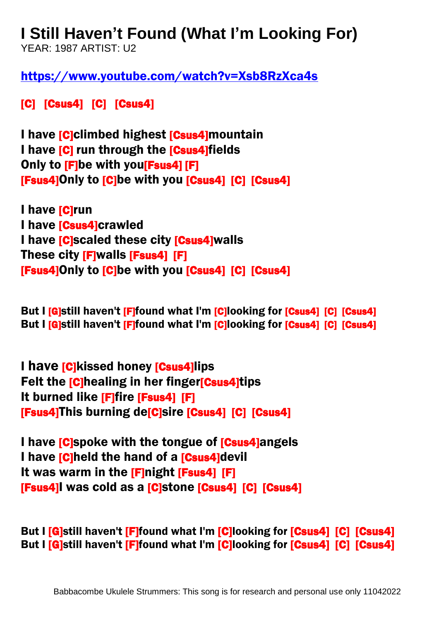## **I Still Haven't Found (What I'm Looking For)**

YEAR: 1987 ARTIST: U2

<https://www.youtube.com/watch?v=Xsb8RzXca4s>

[C] [Csus4] [C] [Csus4]

I have **[C]climbed highest [Csus4]** mountain I have [C] run through the [Csus4]fields Only to [F]be with you[Fsus4] [F] [Fsus4]Only to [C]be with you [Csus4] [C] [Csus4]

I have [C]run I have **[Csus4]**crawled I have **[C]scaled these city [Csus4]walls** These city [F]walls [Fsus4] [F] [Fsus4]Only to [C]be with you [Csus4] [C] [Csus4]

But I **[G]still haven't [F]found what I'm [C]looking for [Csus4] [C] [Csus4]** But I [G]still haven't [F]found what I'm [C]looking for [Csus4] [C] [Csus4]

I have **[C]**kissed honey **[Csus4]** lips Felt the **[C]**healing in her finger**[Csus4]**tips It burned like [F]fire [Fsus4] [F] [Fsus4]This burning de[C]sire [Csus4] [C] [Csus4]

I have **[C**]spoke with the tongue of **[Csus4]**angels I have **[C]held the hand of a [Csus4]devil** It was warm in the [F]night [Fsus4] [F] [Fsus4]I was cold as a [C]stone [Csus4] [C] [Csus4]

But I [G]still haven't [F]found what I'm [C]looking for [Csus4] [C] [Csus4] But I [G]still haven't [F]found what I'm [C]looking for [Csus4] [C] [Csus4]